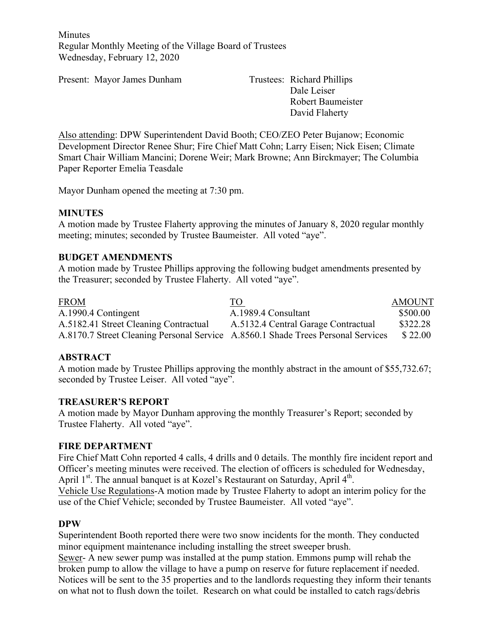**Minutes** Regular Monthly Meeting of the Village Board of Trustees Wednesday, February 12, 2020

Present: Mayor James Dunham Trustees: Richard Phillips

Dale Leiser Robert Baumeister David Flaherty

Also attending: DPW Superintendent David Booth; CEO/ZEO Peter Bujanow; Economic Development Director Renee Shur; Fire Chief Matt Cohn; Larry Eisen; Nick Eisen; Climate Smart Chair William Mancini; Dorene Weir; Mark Browne; Ann Birckmayer; The Columbia Paper Reporter Emelia Teasdale

Mayor Dunham opened the meeting at 7:30 pm.

#### **MINUTES**

A motion made by Trustee Flaherty approving the minutes of January 8, 2020 regular monthly meeting; minutes; seconded by Trustee Baumeister. All voted "aye".

#### **BUDGET AMENDMENTS**

A motion made by Trustee Phillips approving the following budget amendments presented by the Treasurer; seconded by Trustee Flaherty. All voted "aye".

| <b>FROM</b>                                                                      | <u>TO</u>                           | <b>AMOUNT</b> |
|----------------------------------------------------------------------------------|-------------------------------------|---------------|
| A.1990.4 Contingent                                                              | A.1989.4 Consultant                 | \$500.00      |
| A.5182.41 Street Cleaning Contractual                                            | A.5132.4 Central Garage Contractual | \$322.28      |
| A.8170.7 Street Cleaning Personal Service A.8560.1 Shade Trees Personal Services |                                     | \$22.00       |

# **ABSTRACT**

A motion made by Trustee Phillips approving the monthly abstract in the amount of \$55,732.67; seconded by Trustee Leiser. All voted "aye".

#### **TREASURER'S REPORT**

A motion made by Mayor Dunham approving the monthly Treasurer's Report; seconded by Trustee Flaherty. All voted "aye".

#### **FIRE DEPARTMENT**

Fire Chief Matt Cohn reported 4 calls, 4 drills and 0 details. The monthly fire incident report and Officer's meeting minutes were received. The election of officers is scheduled for Wednesday, April  $1<sup>st</sup>$ . The annual banquet is at Kozel's Restaurant on Saturday, April  $4<sup>th</sup>$ . Vehicle Use Regulations-A motion made by Trustee Flaherty to adopt an interim policy for the use of the Chief Vehicle; seconded by Trustee Baumeister. All voted "aye".

#### **DPW**

Superintendent Booth reported there were two snow incidents for the month. They conducted minor equipment maintenance including installing the street sweeper brush.

Sewer- A new sewer pump was installed at the pump station. Emmons pump will rehab the broken pump to allow the village to have a pump on reserve for future replacement if needed. Notices will be sent to the 35 properties and to the landlords requesting they inform their tenants on what not to flush down the toilet. Research on what could be installed to catch rags/debris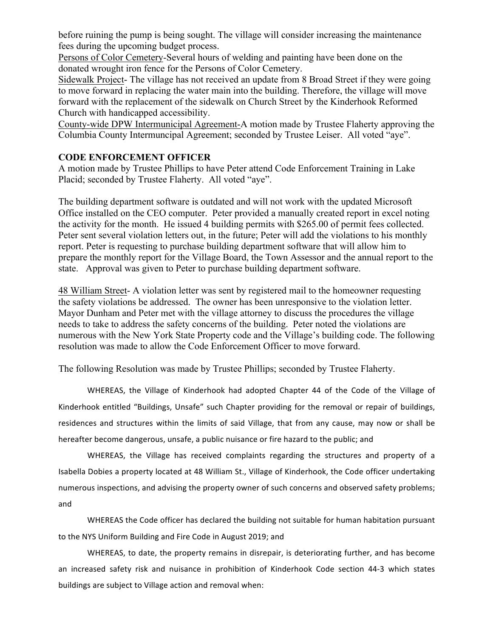before ruining the pump is being sought. The village will consider increasing the maintenance fees during the upcoming budget process.

Persons of Color Cemetery-Several hours of welding and painting have been done on the donated wrought iron fence for the Persons of Color Cemetery.

Sidewalk Project- The village has not received an update from 8 Broad Street if they were going to move forward in replacing the water main into the building. Therefore, the village will move forward with the replacement of the sidewalk on Church Street by the Kinderhook Reformed Church with handicapped accessibility.

County-wide DPW Intermunicipal Agreement-A motion made by Trustee Flaherty approving the Columbia County Intermuncipal Agreement; seconded by Trustee Leiser. All voted "aye".

#### **CODE ENFORCEMENT OFFICER**

A motion made by Trustee Phillips to have Peter attend Code Enforcement Training in Lake Placid; seconded by Trustee Flaherty. All voted "aye".

The building department software is outdated and will not work with the updated Microsoft Office installed on the CEO computer. Peter provided a manually created report in excel noting the activity for the month. He issued 4 building permits with \$265.00 of permit fees collected. Peter sent several violation letters out, in the future; Peter will add the violations to his monthly report. Peter is requesting to purchase building department software that will allow him to prepare the monthly report for the Village Board, the Town Assessor and the annual report to the state. Approval was given to Peter to purchase building department software.

48 William Street- A violation letter was sent by registered mail to the homeowner requesting the safety violations be addressed. The owner has been unresponsive to the violation letter. Mayor Dunham and Peter met with the village attorney to discuss the procedures the village needs to take to address the safety concerns of the building. Peter noted the violations are numerous with the New York State Property code and the Village's building code. The following resolution was made to allow the Code Enforcement Officer to move forward.

The following Resolution was made by Trustee Phillips; seconded by Trustee Flaherty.

WHEREAS, the Village of Kinderhook had adopted Chapter 44 of the Code of the Village of Kinderhook entitled "Buildings, Unsafe" such Chapter providing for the removal or repair of buildings, residences and structures within the limits of said Village, that from any cause, may now or shall be hereafter become dangerous, unsafe, a public nuisance or fire hazard to the public; and

WHEREAS, the Village has received complaints regarding the structures and property of a Isabella Dobies a property located at 48 William St., Village of Kinderhook, the Code officer undertaking numerous inspections, and advising the property owner of such concerns and observed safety problems; and 

WHEREAS the Code officer has declared the building not suitable for human habitation pursuant to the NYS Uniform Building and Fire Code in August 2019; and

WHEREAS, to date, the property remains in disrepair, is deteriorating further, and has become an increased safety risk and nuisance in prohibition of Kinderhook Code section 44-3 which states buildings are subject to Village action and removal when: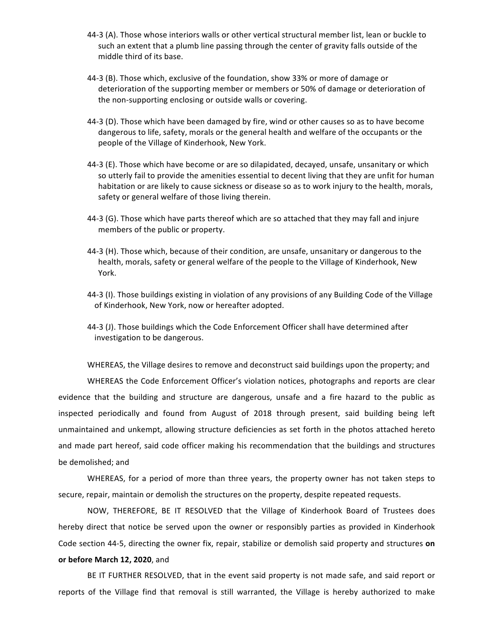- 44-3 (A). Those whose interiors walls or other vertical structural member list, lean or buckle to such an extent that a plumb line passing through the center of gravity falls outside of the middle third of its base.
- 44-3 (B). Those which, exclusive of the foundation, show 33% or more of damage or deterioration of the supporting member or members or 50% of damage or deterioration of the non-supporting enclosing or outside walls or covering.
- 44-3 (D). Those which have been damaged by fire, wind or other causes so as to have become dangerous to life, safety, morals or the general health and welfare of the occupants or the people of the Village of Kinderhook, New York.
- 44-3 (E). Those which have become or are so dilapidated, decayed, unsafe, unsanitary or which so utterly fail to provide the amenities essential to decent living that they are unfit for human habitation or are likely to cause sickness or disease so as to work injury to the health, morals, safety or general welfare of those living therein.
- 44-3 (G). Those which have parts thereof which are so attached that they may fall and injure members of the public or property.
- 44-3 (H). Those which, because of their condition, are unsafe, unsanitary or dangerous to the health, morals, safety or general welfare of the people to the Village of Kinderhook, New York.
- 44-3 (I). Those buildings existing in violation of any provisions of any Building Code of the Village of Kinderhook, New York, now or hereafter adopted.
- 44-3 (J). Those buildings which the Code Enforcement Officer shall have determined after investigation to be dangerous.

WHEREAS, the Village desires to remove and deconstruct said buildings upon the property; and

WHEREAS the Code Enforcement Officer's violation notices, photographs and reports are clear evidence that the building and structure are dangerous, unsafe and a fire hazard to the public as inspected periodically and found from August of 2018 through present, said building being left unmaintained and unkempt, allowing structure deficiencies as set forth in the photos attached hereto and made part hereof, said code officer making his recommendation that the buildings and structures be demolished; and

WHEREAS, for a period of more than three years, the property owner has not taken steps to secure, repair, maintain or demolish the structures on the property, despite repeated requests.

NOW, THEREFORE, BE IT RESOLVED that the Village of Kinderhook Board of Trustees does hereby direct that notice be served upon the owner or responsibly parties as provided in Kinderhook Code section 44-5, directing the owner fix, repair, stabilize or demolish said property and structures on **or before March 12, 2020**, and

BE IT FURTHER RESOLVED, that in the event said property is not made safe, and said report or reports of the Village find that removal is still warranted, the Village is hereby authorized to make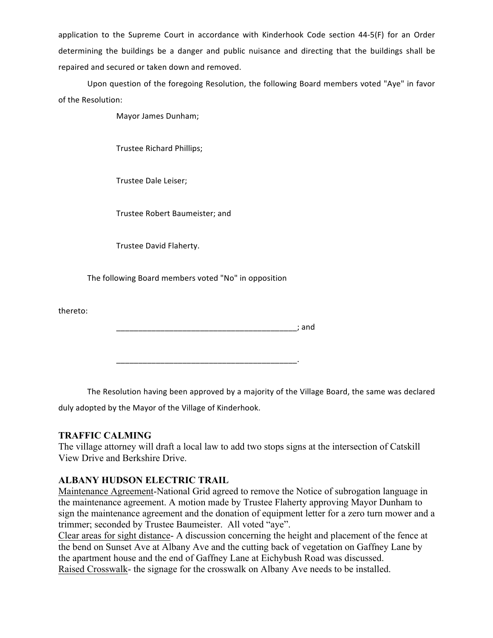application to the Supreme Court in accordance with Kinderhook Code section 44-5(F) for an Order determining the buildings be a danger and public nuisance and directing that the buildings shall be repaired and secured or taken down and removed.

Upon question of the foregoing Resolution, the following Board members voted "Aye" in favor of the Resolution:

Mayor James Dunham;

Trustee Richard Phillips;

Trustee Dale Leiser;

Trustee Robert Baumeister; and

Trustee David Flaherty.

The following Board members voted "No" in opposition

thereto:

\_\_\_\_\_\_\_\_\_\_\_\_\_\_\_\_\_\_\_\_\_\_\_\_\_\_\_\_\_\_\_\_\_\_\_\_\_\_\_\_\_; and

\_\_\_\_\_\_\_\_\_\_\_\_\_\_\_\_\_\_\_\_\_\_\_\_\_\_\_\_\_\_\_\_\_\_\_\_\_\_\_\_\_.

The Resolution having been approved by a majority of the Village Board, the same was declared duly adopted by the Mayor of the Village of Kinderhook.

# **TRAFFIC CALMING**

The village attorney will draft a local law to add two stops signs at the intersection of Catskill View Drive and Berkshire Drive.

# **ALBANY HUDSON ELECTRIC TRAIL**

Maintenance Agreement-National Grid agreed to remove the Notice of subrogation language in the maintenance agreement. A motion made by Trustee Flaherty approving Mayor Dunham to sign the maintenance agreement and the donation of equipment letter for a zero turn mower and a trimmer; seconded by Trustee Baumeister. All voted "aye".

Clear areas for sight distance- A discussion concerning the height and placement of the fence at the bend on Sunset Ave at Albany Ave and the cutting back of vegetation on Gaffney Lane by the apartment house and the end of Gaffney Lane at Eichybush Road was discussed. Raised Crosswalk- the signage for the crosswalk on Albany Ave needs to be installed.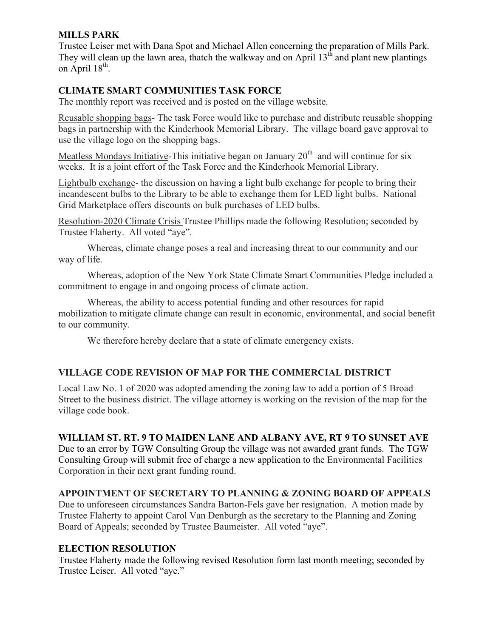# **MILLS PARK**

Trustee Leiser met with Dana Spot and Michael Allen concerning the preparation of Mills Park. They will clean up the lawn area, thatch the walkway and on April  $13<sup>th</sup>$  and plant new plantings on April  $18^{th}$ .

# **CLIMATE SMART COMMUNITIES TASK FORCE**

The monthly report was received and is posted on the village website.

Reusable shopping bags- The task Force would like to purchase and distribute reusable shopping bags in partnership with the Kinderhook Memorial Library. The village board gave approval to use the village logo on the shopping bags.

Meatless Mondays Initiative-This initiative began on January  $20<sup>th</sup>$  and will continue for six weeks. It is a joint effort of the Task Force and the Kinderhook Memorial Library.

Lightbulb exchange- the discussion on having a light bulb exchange for people to bring their incandescent bulbs to the Library to be able to exchange them for LED light bulbs. National Grid Marketplace offers discounts on bulk purchases of LED bulbs.

Resolution-2020 Climate Crisis Trustee Phillips made the following Resolution; seconded by Trustee Flaherty. All voted "aye".

Whereas, climate change poses a real and increasing threat to our community and our way of life.

Whereas, adoption of the New York State Climate Smart Communities Pledge included a commitment to engage in and ongoing process of climate action.

Whereas, the ability to access potential funding and other resources for rapid mobilization to mitigate climate change can result in economic, environmental, and social benefit to our community.

We therefore hereby declare that a state of climate emergency exists.

# **VILLAGE CODE REVISION OF MAP FOR THE COMMERCIAL DISTRICT**

Local Law No. 1 of 2020 was adopted amending the zoning law to add a portion of 5 Broad Street to the business district. The village attorney is working on the revision of the map for the village code book.

# **WILLIAM ST. RT. 9 TO MAIDEN LANE AND ALBANY AVE, RT 9 TO SUNSET AVE**

Due to an error by TGW Consulting Group the village was not awarded grant funds. The TGW Consulting Group will submit free of charge a new application to the Environmental Facilities Corporation in their next grant funding round.

# **APPOINTMENT OF SECRETARY TO PLANNING & ZONING BOARD OF APPEALS**

Due to unforeseen circumstances Sandra Barton-Fels gave her resignation. A motion made by Trustee Flaherty to appoint Carol Van Denburgh as the secretary to the Planning and Zoning Board of Appeals; seconded by Trustee Baumeister. All voted "aye".

# **ELECTION RESOLUTION**

Trustee Flaherty made the following revised Resolution form last month meeting; seconded by Trustee Leiser. All voted "aye."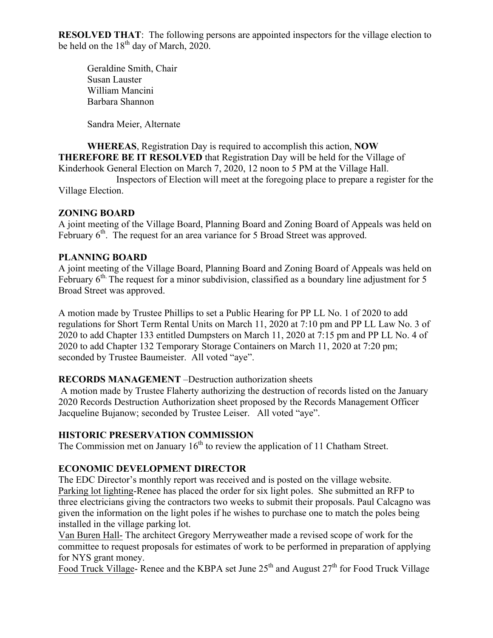**RESOLVED THAT:** The following persons are appointed inspectors for the village election to be held on the  $18^{th}$  day of March, 2020.

Geraldine Smith, Chair Susan Lauster William Mancini Barbara Shannon

Sandra Meier, Alternate

**WHEREAS**, Registration Day is required to accomplish this action, **NOW THEREFORE BE IT RESOLVED** that Registration Day will be held for the Village of Kinderhook General Election on March 7, 2020, 12 noon to 5 PM at the Village Hall.

Inspectors of Election will meet at the foregoing place to prepare a register for the Village Election.

# **ZONING BOARD**

A joint meeting of the Village Board, Planning Board and Zoning Board of Appeals was held on February  $6<sup>th</sup>$ . The request for an area variance for 5 Broad Street was approved.

#### **PLANNING BOARD**

A joint meeting of the Village Board, Planning Board and Zoning Board of Appeals was held on February 6<sup>th.</sup> The request for a minor subdivision, classified as a boundary line adjustment for 5 Broad Street was approved.

A motion made by Trustee Phillips to set a Public Hearing for PP LL No. 1 of 2020 to add regulations for Short Term Rental Units on March 11, 2020 at 7:10 pm and PP LL Law No. 3 of 2020 to add Chapter 133 entitled Dumpsters on March 11, 2020 at 7:15 pm and PP LL No. 4 of 2020 to add Chapter 132 Temporary Storage Containers on March 11, 2020 at 7:20 pm; seconded by Trustee Baumeister. All voted "aye".

# **RECORDS MANAGEMENT** –Destruction authorization sheets

A motion made by Trustee Flaherty authorizing the destruction of records listed on the January 2020 Records Destruction Authorization sheet proposed by the Records Management Officer Jacqueline Bujanow; seconded by Trustee Leiser. All voted "aye".

# **HISTORIC PRESERVATION COMMISSION**

The Commission met on January  $16<sup>th</sup>$  to review the application of 11 Chatham Street.

# **ECONOMIC DEVELOPMENT DIRECTOR**

The EDC Director's monthly report was received and is posted on the village website. Parking lot lighting-Renee has placed the order for six light poles. She submitted an RFP to three electricians giving the contractors two weeks to submit their proposals. Paul Calcagno was given the information on the light poles if he wishes to purchase one to match the poles being installed in the village parking lot.

Van Buren Hall- The architect Gregory Merryweather made a revised scope of work for the committee to request proposals for estimates of work to be performed in preparation of applying for NYS grant money.

Food Truck Village- Renee and the KBPA set June  $25<sup>th</sup>$  and August  $27<sup>th</sup>$  for Food Truck Village